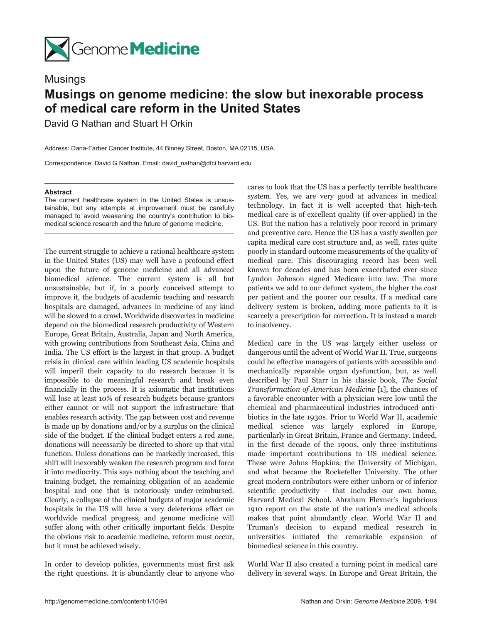

## Musings

## **Musings on genome medicine: the slow but inexorable process of medical care reform in the United States**

David G Nathan and Stuart H Orkin

Address: Dana-Farber Cancer Institute, 44 Binney Street, Boston, MA 02115, USA.

Correspondence: David G Nathan. Email: david\_nathan@dfci.harvard.edu

## **Abstract**

The current healthcare system in the United States is unsustainable, but any attempts at improvement must be carefully managed to avoid weakening the country's contribution to biomedical science research and the future of genome medicine.

The current struggle to achieve a rational healthcare system in the United States (US) may well have a profound effect upon the future of genome medicine and all advanced biomedical science. The current system is all but unsustainable, but if, in a poorly conceived attempt to improve it, the budgets of academic teaching and research hospitals are damaged, advances in medicine of any kind will be slowed to a crawl. Worldwide discoveries in medicine depend on the biomedical research productivity of Western Europe, Great Britain, Australia, Japan and North America, with growing contributions from Southeast Asia, China and India. The US effort is the largest in that group. A budget crisis in clinical care within leading US academic hospitals will imperil their capacity to do research because it is impossible to do meaningful research and break even financially in the process. It is axiomatic that institutions will lose at least 10% of research budgets because grantors either cannot or will not support the infrastructure that enables research activity. The gap between cost and revenue is made up by donations and/or by a surplus on the clinical side of the budget. If the clinical budget enters a red zone, donations will necessarily be directed to shore up that vital function. Unless donations can be markedly increased, this shift will inexorably weaken the research program and force it into mediocrity. This says nothing about the teaching and training budget, the remaining obligation of an academic hospital and one that is notoriously under-reimbursed. Clearly, a collapse of the clinical budgets of major academic hospitals in the US will have a very deleterious effect on worldwide medical progress, and genome medicine will suffer along with other critically important fields. Despite the obvious risk to academic medicine, reform must occur, but it must be achieved wisely.

In order to develop policies, governments must first ask the right questions. It is abundantly clear to anyone who

cares to look that the US has a perfectly terrible healthcare system. Yes, we are very good at advances in medical technology. In fact it is well accepted that high-tech medical care is of excellent quality (if over-applied) in the US. But the nation has a relatively poor record in primary and preventive care. Hence the US has a vastly swollen per capita medical care cost structure and, as well, rates quite poorly in standard outcome measurements of the quality of medical care. This discouraging record has been well known for decades and has been exacerbated ever since Lyndon Johnson signed Medicare into law. The more patients we add to our defunct system, the higher the cost per patient and the poorer our results. If a medical care delivery system is broken, adding more patients to it is scarcely a prescription for correction. It is instead a march to insolvency.

Medical care in the US was largely either useless or dangerous until the advent of World War II. True, surgeons could be effective managers of patients with accessible and mechanically reparable organ dysfunction, but, as well described by Paul Starr in his classic book, *The Social Transformation of American Medicine* [1], the chances of a favorable encounter with a physician were low until the chemical and pharmaceutical industries introduced antibiotics in the late 1930s. Prior to World War II, academic medical science was largely explored in Europe, particularly in Great Britain, France and Germany. Indeed, in the first decade of the 1900s, only three institutions made important contributions to US medical science. These were Johns Hopkins, the University of Michigan, and what became the Rockefeller University. The other great modern contributors were either unborn or of inferior scientific productivity - that includes our own home, Harvard Medical School. Abraham Flexner's lugubrious 1910 report on the state of the nation's medical schools makes that point abundantly clear. World War II and Truman's decision to expand medical research in universities initiated the remarkable expansion of biomedical science in this country.

World War II also created a turning point in medical care delivery in several ways. In Europe and Great Britain, the